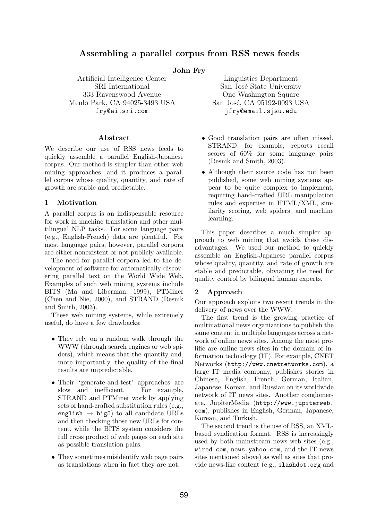## Assembling a parallel corpus from RSS news feeds

#### John Fry

333 Ravenswood Avenue One Washington Square Menlo Park, CA 94025-3493 USA San José, CA 95192-0093 USA

#### Abstract

We describe our use of RSS news feeds to quickly assemble a parallel English-Japanese corpus. Our method is simpler than other web mining approaches, and it produces a parallel corpus whose quality, quantity, and rate of growth are stable and predictable.

#### 1 Motivation

A parallel corpus is an indispensable resource for work in machine translation and other multilingual NLP tasks. For some language pairs (e.g., English-French) data are plentiful. For most language pairs, however, parallel corpora are either nonexistent or not publicly available.

The need for parallel corpora led to the development of software for automatically discovering parallel text on the World Wide Web. Examples of such web mining systems include BITS (Ma and Liberman, 1999), PTMiner (Chen and Nie, 2000), and STRAND (Resnik and Smith, 2003).

These web mining systems, while extremely useful, do have a few drawbacks:

- They rely on a random walk through the WWW (through search engines or web spiders), which means that the quantity and, more importantly, the quality of the final results are unpredictable.
- Their 'generate-and-test' approaches are slow and inefficient. For example, STRAND and PTMiner work by applying sets of hand-crafted substitution rules (e.g., english  $\rightarrow$  big5) to all candidate URLs and then checking those new URLs for content, while the BITS system considers the full cross product of web pages on each site as possible translation pairs.
- They sometimes misidentify web page pairs as translations when in fact they are not.

Artificial Intelligence Center Linguistics Department SRI International San José State University fry@ai.sri.com jfry@email.sjsu.edu

- Good translation pairs are often missed. STRAND, for example, reports recall scores of 60% for some language pairs (Resnik and Smith, 2003).
- Although their source code has not been published, some web mining systems appear to be quite complex to implement, requiring hand-crafted URL manipulation rules and expertise in HTML/XML, similarity scoring, web spiders, and machine learning.

This paper describes a much simpler approach to web mining that avoids these disadvantages. We used our method to quickly assemble an English-Japanese parallel corpus whose quality, quantity, and rate of growth are stable and predictable, obviating the need for quality control by bilingual human experts.

### 2 Approach

Our approach exploits two recent trends in the delivery of news over the WWW.

The first trend is the growing practice of multinational news organizations to publish the same content in multiple languages across a network of online news sites. Among the most prolific are online news sites in the domain of information technology (IT). For example, CNET Networks (http://www.cnetnetworks.com), a large IT media company, publishes stories in Chinese, English, French, German, Italian, Japanese, Korean, and Russian on its worldwide network of IT news sites. Another conglomerate, JupiterMedia (http://www.jupiterweb. com), publishes in English, German, Japanese, Korean, and Turkish.

The second trend is the use of RSS, an XMLbased syndication format. RSS is increasingly used by both mainstream news web sites (e.g., wired.com, news.yahoo.com, and the IT news sites mentioned above) as well as sites that provide news-like content (e.g., slashdot.org and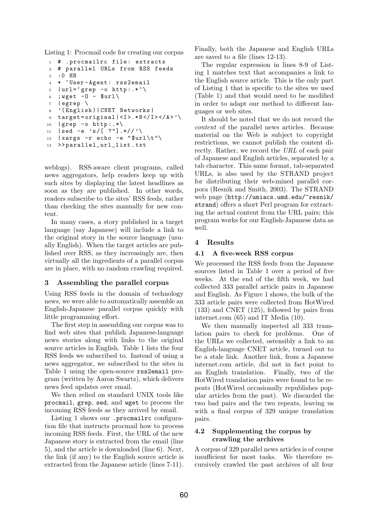Listing 1: Procmail code for creating our corpus

```
1 # .procmailrc file: extracts
2 # parallel URLs from RSS feeds
3 :0 HB
4 * ^ User - Agent : rss2email
5 | url = 'grep -o http: .*'\
6 ; wget -0 - $url \
7 | egrep \
8 '( English )| CNET Networks |
9 target=original | <I >.*N </I > </A > '\
10 | grep -o http: *\11 | sed -e 's/[ ?"].*//'\
12 | xargs -r echo -e "$url\t"\
13 >>parallel_url_list.txt
```
weblogs). RSS-aware client programs, called news aggregators, help readers keep up with such sites by displaying the latest headlines as soon as they are published. In other words, readers subscribe to the sites' RSS feeds, rather than checking the sites manually for new content.

In many cases, a story published in a target language (say Japanese) will include a link to the original story in the source language (usually English). When the target articles are published over RSS, as they increasingly are, then virtually all the ingredients of a parallel corpus are in place, with no random crawling required.

### 3 Assembling the parallel corpus

Using RSS feeds in the domain of technology news, we were able to automatically assemble an English-Japanese parallel corpus quickly with little programming effort.

The first step in assembling our corpus was to find web sites that publish Japanese-language news stories along with links to the original source articles in English. Table 1 lists the four RSS feeds we subscribed to. Instead of using a news aggregator, we subscribed to the sites in Table 1 using the open-source rss2email program (written by Aaron Swartz), which delivers news feed updates over email.

We then relied on standard UNIX tools like procmail, grep, sed, and wget to process the incoming RSS feeds as they arrived by email.

Listing 1 shows our .procmailrc configuration file that instructs procmail how to process incoming RSS feeds. First, the URL of the new Japanese story is extracted from the email (line 5), and the article is downloaded (line 6). Next, the link (if any) to the English source article is extracted from the Japanese article (lines 7-11). Finally, both the Japanese and English URLs are saved to a file (lines 12-13).

The regular expression in lines 8-9 of Listing 1 matches text that accompanies a link to the English source article. This is the only part of Listing 1 that is specific to the sites we used (Table 1) and that would need to be modified in order to adapt our method to different languages or web sites.

It should be noted that we do not record the content of the parallel news articles. Because material on the Web is subject to copyright restrictions, we cannot publish the content directly. Rather, we record the URL of each pair of Japanese and English articles, separated by a tab character. This same format, tab-separated URLs, is also used by the STRAND project for distributing their web-mined parallel corpora (Resnik and Smith, 2003). The STRAND web page (http://umiacs.umd.edu/~resnik/ strand) offers a short Perl program for extracting the actual content from the URL pairs; this program works for our English-Japanese data as well.

### 4 Results

### 4.1 A five-week RSS corpus

We processed the RSS feeds from the Japanese sources listed in Table 1 over a period of five weeks. At the end of the fifth week, we had collected 333 parallel article pairs in Japanese and English. As Figure 1 shows, the bulk of the 333 article pairs were collected from HotWired (133) and CNET (125), followed by pairs from internet.com (65) and IT Media (10).

We then manually inspected all 333 translation pairs to check for problems. One of the URLs we collected, ostensibly a link to an English-language CNET article, turned out to be a stale link. Another link, from a Japanese internet.com article, did not in fact point to an English translation. Finally, two of the HotWired translation pairs were found to be repeats (HotWired occasionally republishes popular articles from the past). We discarded the two bad pairs and the two repeats, leaving us with a final corpus of 329 unique translation pairs.

### 4.2 Supplementing the corpus by crawling the archives

A corpus of 329 parallel news articles is of course insufficient for most tasks. We therefore recursively crawled the past archives of all four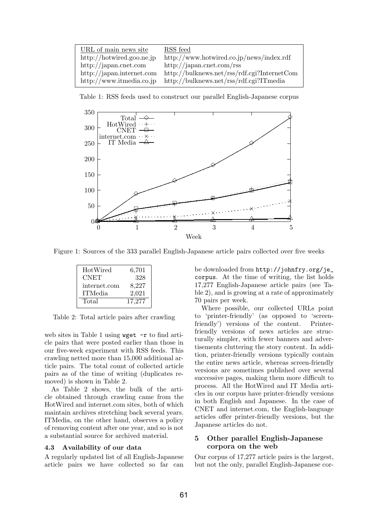| URL of main news site     | RSS feed                                    |
|---------------------------|---------------------------------------------|
| http://hotwired.goo.ne.jp | http://www.hotwired.co.jp/news/index.rdf    |
| http://japan.cnet.com     | http://japan.cnet.com/rss                   |
| http://japan.internet.com | http://bulknews.net/rss/rdf.cgi?InternetCom |
| http://www.itmedia.co.jp  | $http://bulknews.net/rss/rdf.cgi?ITmedia$   |

Table 1: RSS feeds used to construct our parallel English-Japanese corpus



Figure 1: Sources of the 333 parallel English-Japanese article pairs collected over five weeks

| 6,701  |
|--------|
| 328    |
| 8,227  |
| 2,021  |
| 17,277 |
|        |

Table 2: Total article pairs after crawling

web sites in Table 1 using wget  $-r$  to find article pairs that were posted earlier than those in our five-week experiment with RSS feeds. This crawling netted more than 15,000 additional article pairs. The total count of collected article pairs as of the time of writing (duplicates removed) is shown in Table 2.

As Table 2 shows, the bulk of the article obtained through crawling came from the HotWired and internet.com sites, both of which maintain archives stretching back several years. ITMedia, on the other hand, observes a policy of removing content after one year, and so is not a substantial source for archived material.

#### 4.3 Availability of our data

A regularly updated list of all English-Japanese article pairs we have collected so far can be downloaded from http://johnfry.org/je\_ corpus. At the time of writing, the list holds 17,277 English-Japanese article pairs (see Table 2), and is growing at a rate of approximately 70 pairs per week.

Where possible, our collected URLs point to 'printer-friendly' (as opposed to 'screenfriendly') versions of the content. Printerfriendly versions of news articles are structurally simpler, with fewer banners and advertisements cluttering the story content. In addition, printer-friendly versions typically contain the entire news article, whereas screen-friendly versions are sometimes published over several successive pages, making them more difficult to process. All the HotWired and IT Media articles in our corpus have printer-friendly versions in both English and Japanese. In the case of CNET and internet.com, the English-language articles offer printer-friendly versions, but the Japanese articles do not.

## 5 Other parallel English-Japanese corpora on the web

Our corpus of 17,277 article pairs is the largest, but not the only, parallel English-Japanese cor